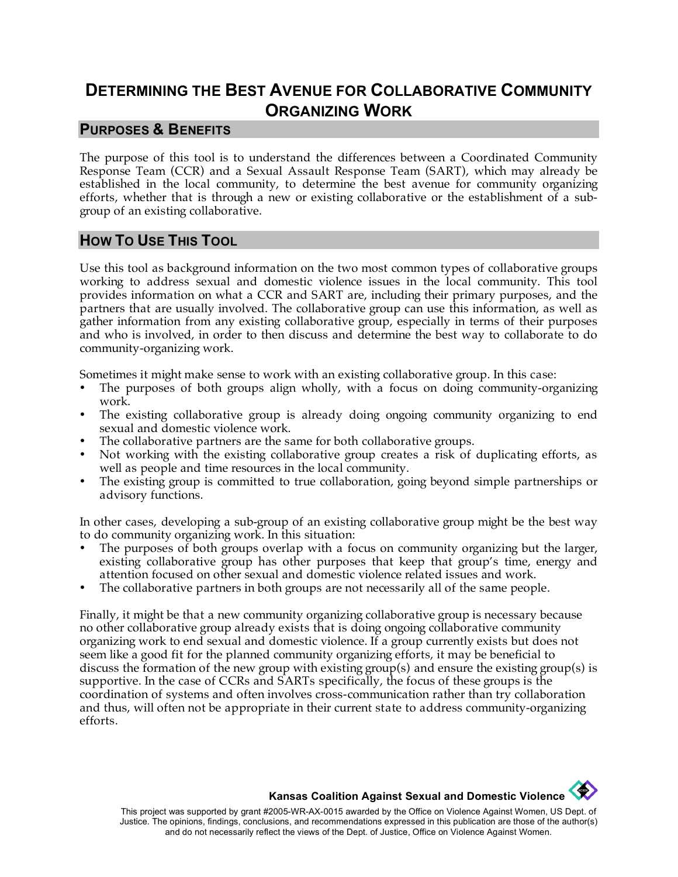# **DETERMINING THE BEST AVENUE FOR COLLABORATIVE COMMUNITY ORGANIZING WORK**

#### **PURPOSES & BENEFITS**

The purpose of this tool is to understand the differences between a Coordinated Community Response Team (CCR) and a Sexual Assault Response Team (SART), which may already be established in the local community, to determine the best avenue for community organizing efforts, whether that is through a new or existing collaborative or the establishment of a subgroup of an existing collaborative.

#### **HOW TO USE THIS TOOL**

Use this tool as background information on the two most common types of collaborative groups working to address sexual and domestic violence issues in the local community. This tool provides information on what a CCR and SART are, including their primary purposes, and the partners that are usually involved. The collaborative group can use this information, as well as gather information from any existing collaborative group, especially in terms of their purposes and who is involved, in order to then discuss and determine the best way to collaborate to do community-organizing work.

Sometimes it might make sense to work with an existing collaborative group. In this case:

- The purposes of both groups align wholly, with a focus on doing community-organizing work.
- The existing collaborative group is already doing ongoing community organizing to end sexual and domestic violence work.
- The collaborative partners are the same for both collaborative groups.
- Not working with the existing collaborative group creates a risk of duplicating efforts, as well as people and time resources in the local community.
- The existing group is committed to true collaboration, going beyond simple partnerships or advisory functions.

In other cases, developing a sub-group of an existing collaborative group might be the best way to do community organizing work. In this situation:

- The purposes of both groups overlap with a focus on community organizing but the larger, existing collaborative group has other purposes that keep that group's time, energy and attention focused on other sexual and domestic violence related issues and work.
- The collaborative partners in both groups are not necessarily all of the same people.

Finally, it might be that a new community organizing collaborative group is necessary because no other collaborative group already exists that is doing ongoing collaborative community organizing work to end sexual and domestic violence. If a group currently exists but does not seem like a good fit for the planned community organizing efforts, it may be beneficial to discuss the formation of the new group with existing group(s) and ensure the existing group(s) is supportive. In the case of CCRs and SARTs specifically, the focus of these groups is the coordination of systems and often involves cross-communication rather than try collaboration and thus, will often not be appropriate in their current state to address community-organizing efforts.

#### **CONTRACTOR Kansas Coalition Against Sexual and Domestic Violence**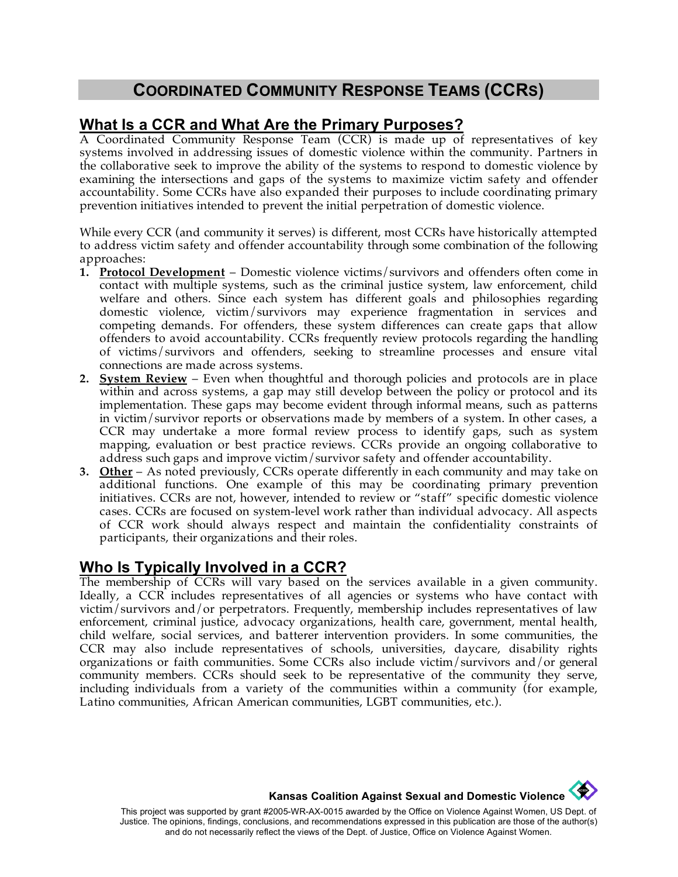## **COORDINATED COMMUNITY RESPONSE TEAMS (CCRS)**

## **What Is a CCR and What Are the Primary Purposes?**

A Coordinated Community Response Team (CCR) is made up of representatives of key systems involved in addressing issues of domestic violence within the community. Partners in the collaborative seek to improve the ability of the systems to respond to domestic violence by examining the intersections and gaps of the systems to maximize victim safety and offender accountability. Some CCRs have also expanded their purposes to include coordinating primary prevention initiatives intended to prevent the initial perpetration of domestic violence.

While every CCR (and community it serves) is different, most CCRs have historically attempted to address victim safety and offender accountability through some combination of the following approaches:

- **1. Protocol Development** Domestic violence victims/survivors and offenders often come in contact with multiple systems, such as the criminal justice system, law enforcement, child welfare and others. Since each system has different goals and philosophies regarding domestic violence, victim/survivors may experience fragmentation in services and competing demands. For offenders, these system differences can create gaps that allow offenders to avoid accountability. CCRs frequently review protocols regarding the handling of victims/survivors and offenders, seeking to streamline processes and ensure vital connections are made across systems.
- **2. System Review** Even when thoughtful and thorough policies and protocols are in place within and across systems, a gap may still develop between the policy or protocol and its implementation. These gaps may become evident through informal means, such as patterns in victim/survivor reports or observations made by members of a system. In other cases, a CCR may undertake a more formal review process to identify gaps, such as system mapping, evaluation or best practice reviews. CCRs provide an ongoing collaborative to address such gaps and improve victim/survivor safety and offender accountability.
- **3. Other** As noted previously, CCRs operate differently in each community and may take on additional functions. One example of this may be coordinating primary prevention initiatives. CCRs are not, however, intended to review or "staff" specific domestic violence cases. CCRs are focused on system-level work rather than individual advocacy. All aspects of CCR work should always respect and maintain the confidentiality constraints of participants, their organizations and their roles.

## **Who Is Typically Involved in a CCR?**

The membership of CCRs will vary based on the services available in a given community. Ideally, a CCR includes representatives of all agencies or systems who have contact with victim/survivors and/or perpetrators. Frequently, membership includes representatives of law enforcement, criminal justice, advocacy organizations, health care, government, mental health, child welfare, social services, and batterer intervention providers. In some communities, the CCR may also include representatives of schools, universities, daycare, disability rights organizations or faith communities. Some CCRs also include victim/survivors and/or general community members. CCRs should seek to be representative of the community they serve, including individuals from a variety of the communities within a community (for example, Latino communities, African American communities, LGBT communities, etc.).

**Kansas Coalition Against Sexual and Domestic Violence** 

 $\left\langle \frac{d\mathbf{r}}{d\mathbf{r}}\right\rangle$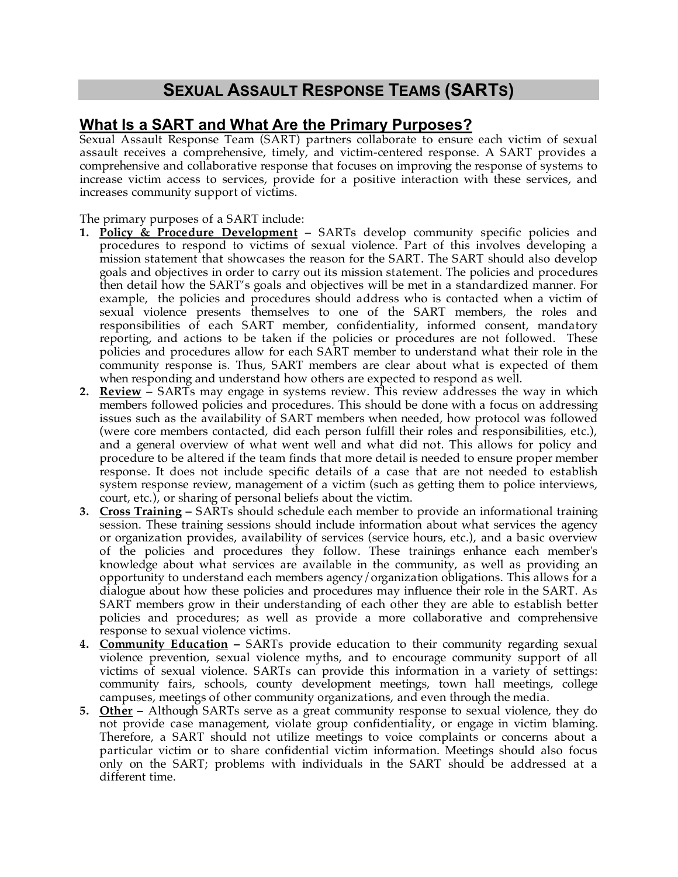# **SEXUAL ASSAULT RESPONSE TEAMS (SARTS)**

## **What Is a SART and What Are the Primary Purposes?**

Sexual Assault Response Team (SART) partners collaborate to ensure each victim of sexual assault receives a comprehensive, timely, and victim-centered response. A SART provides a comprehensive and collaborative response that focuses on improving the response of systems to increase victim access to services, provide for a positive interaction with these services, and increases community support of victims.

#### The primary purposes of a SART include:

- **1. Policy & Procedure Development –** SARTs develop community specific policies and procedures to respond to victims of sexual violence. Part of this involves developing a mission statement that showcases the reason for the SART. The SART should also develop goals and objectives in order to carry out its mission statement. The policies and procedures then detail how the SART's goals and objectives will be met in a standardized manner. For example, the policies and procedures should address who is contacted when a victim of sexual violence presents themselves to one of the SART members, the roles and responsibilities of each SART member, confidentiality, informed consent, mandatory reporting, and actions to be taken if the policies or procedures are not followed. These policies and procedures allow for each SART member to understand what their role in the community response is. Thus, SART members are clear about what is expected of them when responding and understand how others are expected to respond as well.
- **2. Review –** SARTs may engage in systems review. This review addresses the way in which members followed policies and procedures. This should be done with a focus on addressing issues such as the availability of SART members when needed, how protocol was followed (were core members contacted, did each person fulfill their roles and responsibilities, etc.), and a general overview of what went well and what did not. This allows for policy and procedure to be altered if the team finds that more detail is needed to ensure proper member response. It does not include specific details of a case that are not needed to establish system response review, management of a victim (such as getting them to police interviews, court, etc.), or sharing of personal beliefs about the victim.
- **3. Cross Training –** SARTs should schedule each member to provide an informational training session. These training sessions should include information about what services the agency or organization provides, availability of services (service hours, etc.), and a basic overview of the policies and procedures they follow. These trainings enhance each member's knowledge about what services are available in the community, as well as providing an opportunity to understand each members agency/organization obligations. This allows for a dialogue about how these policies and procedures may influence their role in the SART. As SART members grow in their understanding of each other they are able to establish better policies and procedures; as well as provide a more collaborative and comprehensive response to sexual violence victims.
- **4. Community Education –** SARTs provide education to their community regarding sexual violence prevention, sexual violence myths, and to encourage community support of all victims of sexual violence. SARTs can provide this information in a variety of settings: community fairs, schools, county development meetings, town hall meetings, college campuses, meetings of other community organizations, and even through the media.
- **5. Other –** Although SARTs serve as a great community response to sexual violence, they do not provide case management, violate group confidentiality, or engage in victim blaming. Therefore, a SART should not utilize meetings to voice complaints or concerns about a particular victim or to share confidential victim information. Meetings should also focus only on the SART; problems with individuals in the SART should be addressed at a different time.